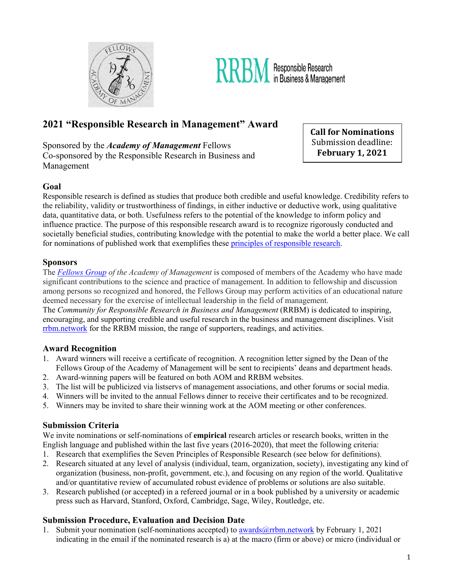



# **2021 "Responsible Research in Management" Award**

Sponsored by the *Academy of Management* Fellows

Co-sponsored by the Responsible Research in Business and Management

**Call for Nominations** Submission deadline: **February 1, 2021**

### **Goal**

Responsible research is defined as studies that produce both credible and useful knowledge. Credibility refers to the reliability, validity or trustworthiness of findings, in either inductive or deductive work, using qualitative data, quantitative data, or both. Usefulness refers to the potential of the knowledge to inform policy and influence practice. The purpose of this responsible research award is to recognize rigorously conducted and societally beneficial studies, contributing knowledge with the potential to make the world a better place. We call for nominations of published work that exemplifies these [principles of responsible research.](https://rrbm.network/position-paper/principles-of-responsible-science/) 

#### **Sponsors**

The *[Fellows Group](https://aom.org/network/affiliated-and-associated-societies/fellows-group) of the Academy of Management* is composed of members of the Academy who have made significant contributions to the science and practice of management. In addition to fellowship and discussion among persons so recognized and honored, the Fellows Group may perform activities of an educational nature deemed necessary for the exercise of intellectual leadership in the field of management.

The *Community for Responsible Research in Business and Management* (RRBM) is dedicated to inspiring, encouraging, and supporting credible and useful research in the business and management disciplines. Visit [rrbm.network](http://www.rrbm.network/) for the RRBM mission, the range of supporters, readings, and activities.

#### **Award Recognition**

- 1. Award winners will receive a certificate of recognition. A recognition letter signed by the Dean of the Fellows Group of the Academy of Management will be sent to recipients' deans and department heads.
- 2. Award-winning papers will be featured on both AOM and RRBM websites.
- 3. The list will be publicized via listservs of management associations, and other forums or social media.
- 4. Winners will be invited to the annual Fellows dinner to receive their certificates and to be recognized.
- 5. Winners may be invited to share their winning work at the AOM meeting or other conferences.

#### **Submission Criteria**

We invite nominations or self-nominations of **empirical** research articles or research books, written in the English language and published within the last five years (2016-2020), that meet the following criteria:

- 1. Research that exemplifies the Seven Principles of Responsible Research (see below for definitions).
- 2. Research situated at any level of analysis (individual, team, organization, society), investigating any kind of organization (business, non-profit, government, etc.), and focusing on any region of the world. Qualitative and/or quantitative review of accumulated robust evidence of problems or solutions are also suitable.
- 3. Research published (or accepted) in a refereed journal or in a book published by a university or academic press such as Harvard, Stanford, Oxford, Cambridge, Sage, Wiley, Routledge, etc.

## **Submission Procedure, Evaluation and Decision Date**

1. Submit your nomination (self-nominations accepted) to <u>awards@rrbm.network</u> by February 1, 2021 indicating in the email if the nominated research is a) at the macro (firm or above) or micro (individual or